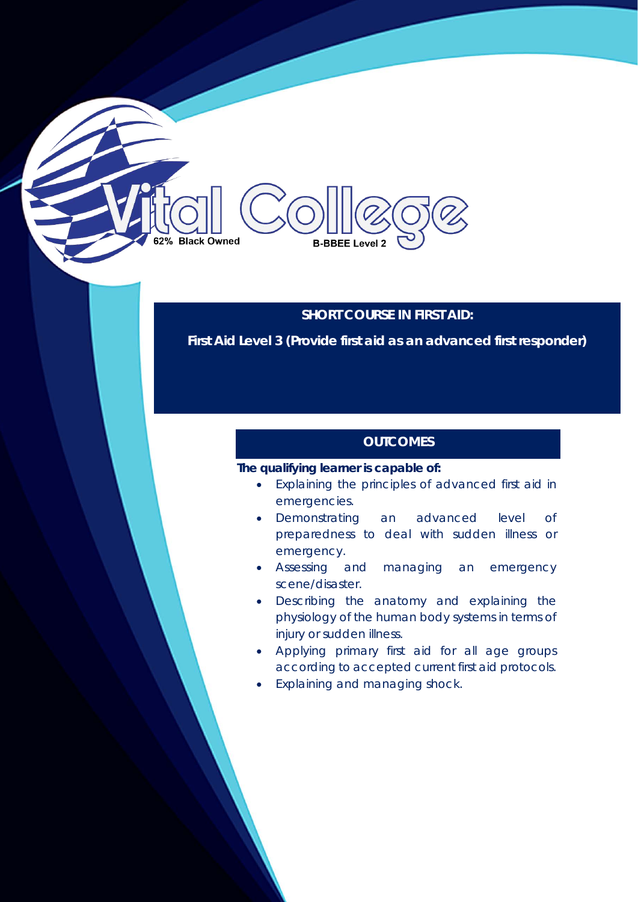# **SHORT COURSE IN FIRST AID:**

**B-BBEE Level 2** 

**First Aid Level 3 (Provide first aid as an advanced first responder)**

# **OUTCOMES**

## **The qualifying learner is capable of:**

**Black Owned** 

- Explaining the principles of advanced first aid in emergencies.
- Demonstrating an advanced level of preparedness to deal with sudden illness or emergency.
- Assessing and managing an emergency scene/disaster.
- Describing the anatomy and explaining the physiology of the human body systems in terms of injury or sudden illness.
- Applying primary first aid for all age groups according to accepted current first aid protocols.
- Explaining and managing shock.